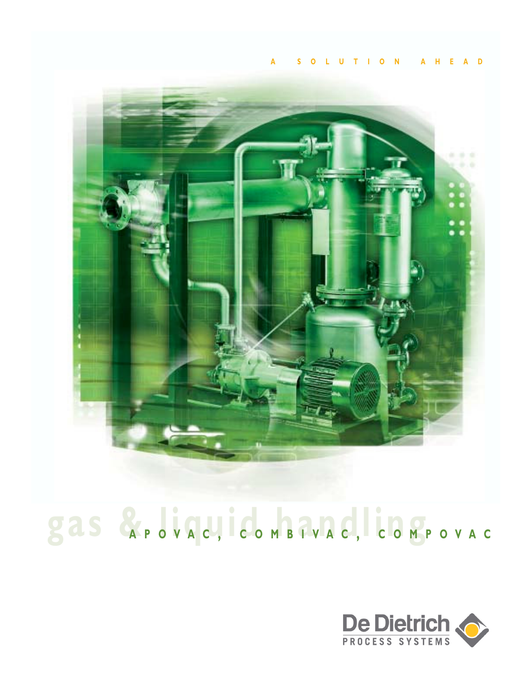A S O L U T I O N A H E A D



# gas & P O V A C, CO M B T V A C, CO M P O V A C

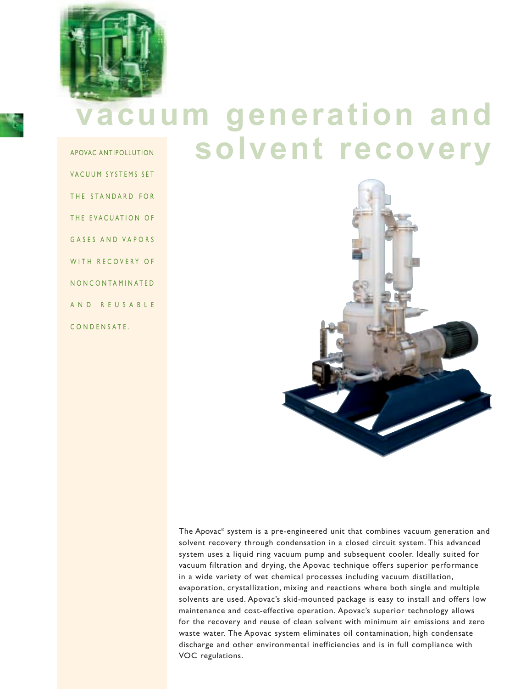

## vacuum generation and solvent recovery

APOVAC ANTIPOLLUTION VACUUM SYSTEMS SET THE STANDARD FOR THE EVACUATION OF GASES AND VAPORS WITH RECOVERY OF N O N C O N T A M I N A T E D A N D R E U S A B L E CONDENSATE.



The Apovac ® system is a pre-engineered unit that combines vacuum generation and solvent recovery through condensation in a closed circuit system. This advanced system uses a liquid ring vacuum pump and subsequent cooler. Ideally suited for vacuum filtration and drying, the Apovac technique offers superior performance in a wide variety of wet chemical processes including vacuum distillation, evaporation, crystallization, mixing and reactions where both single and multiple solvents are used. Apovac's skid-mounted package is easy to install and offers low maintenance and cost-effective operation. Apovac's superior technology allows for the recovery and reuse of clean solvent with minimum air emissions and zero waste water. The Apovac system eliminates oil contamination, high condensate discharge and other environmental inefficiencies and is in full compliance with VOC regulations.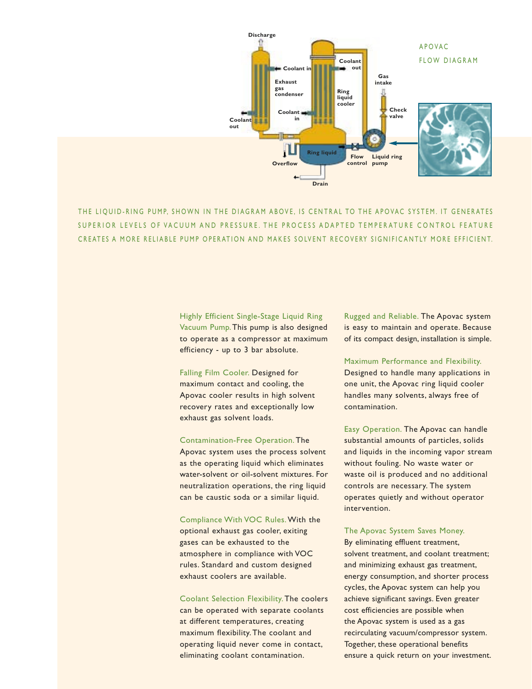

THE LIQUID-RING PUMP, SHOWN IN THE DIAGRAM ABOVE, IS CENTRAL TO THE APOVAC SYSTEM. IT GENERATES SUPERIOR LEVELS OF VACUUM AND PRESSURE. THE PROCESS ADAPTED TEMPERATURE CONTROL FEATURE CREATES A MORE RELIABLE PUMP OPERATION AND MAKES SOLVENT RECOVERY SIGNIFICANTLY MORE EFFICIENT.

> Highly Efficient Single-Stage Liquid Ring Vacuum Pump.This pump is also designed to operate as a compressor at maximum efficiency - up to 3 bar absolute.

Falling Film Cooler. Designed for maximum contact and cooling, the Apovac cooler results in high solvent recovery rates and exceptionally low exhaust gas solvent loads.

Contamination-Free Operation.The

Apovac system uses the process solvent as the operating liquid which eliminates water-solvent or oil-solvent mixtures. For neutralization operations, the ring liquid can be caustic soda or a similar liquid.

Compliance With VOC Rules.With the optional exhaust gas cooler, exiting gases can be exhausted to the atmosphere in compliance with VOC rules. Standard and custom designed exhaust coolers are available.

Coolant Selection Flexibility.The coolers can be operated with separate coolants at different temperatures, creating maximum flexibility.The coolant and operating liquid never come in contact, eliminating coolant contamination.

Rugged and Reliable. The Apovac system is easy to maintain and operate. Because of its compact design, installation is simple.

Maximum Performance and Flexibility. Designed to handle many applications in one unit, the Apovac ring liquid cooler handles many solvents, always free of contamination.

Easy Operation. The Apovac can handle substantial amounts of particles, solids and liquids in the incoming vapor stream without fouling. No waste water or waste oil is produced and no additional controls are necessary. The system operates quietly and without operator intervention.

The Apovac System Saves Money.

By eliminating effluent treatment, solvent treatment, and coolant treatment; and minimizing exhaust gas treatment, energy consumption, and shorter process cycles, the Apovac system can help you achieve significant savings. Even greater cost efficiencies are possible when the Apovac system is used as a gas recirculating vacuum/compressor system. Together, these operational benefits ensure a quick return on your investment.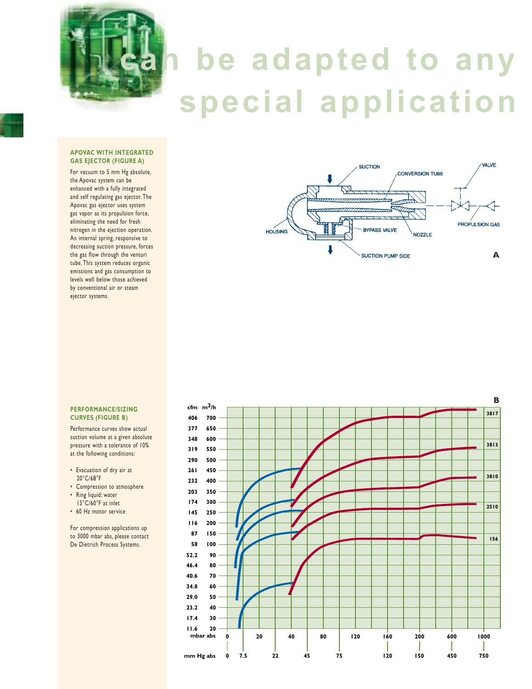

# be adapted to any special application

#### APOVAC WITH INTEGRATED GAS EJECTOR (FIGURE A)

For vacuum to 5 mm Hg absolute, the Apovac system can be enhanced with a fully integrated and self regulating gas ejector. The Apovac gas ejector uses system gas vapor as its propulsion force, eliminating the need for fresh nitrogen in the ejection operation. An internal spring, responsive to decreasing suction pressure, forces the gas flow through the venturi tube. This system reduces organic emissions and gas consumption to levels well below those achieved by conventional air or steam ejector systems.



#### PERFORMANCE/SIZING CURVES (FIGURE B)

Performance curves show actual suction volume at a given absolute pressure with a tolerance of 10% at the following conditions:

- Evacuation of dry air at 20°C/68°F
- Compression to atmosphere • Ring liquid: water
- 15°C/60°F at inlet
- 60 Hz motor service

For compression applications up to 3000 mbar abs, please contact De Dietrich Process Systems.

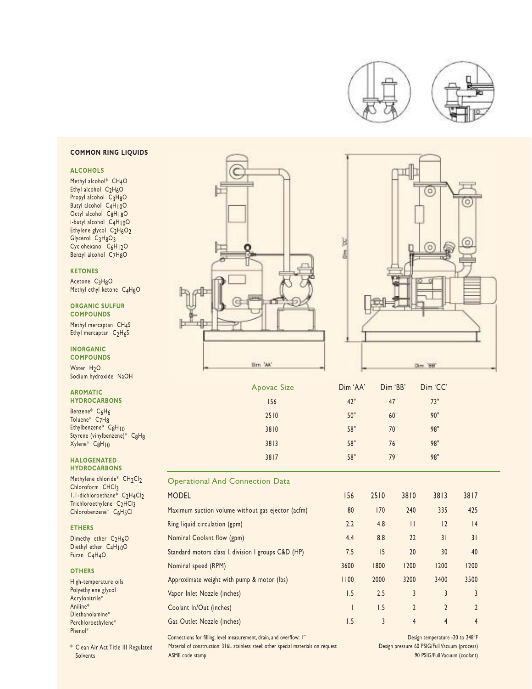



#### COMMON RING LIQUIDS

#### ALCOHOLS

Methyl alcohol\* CH4O Ethyl alcohol C<sub>2</sub>H<sub>6</sub>O Propyl alcohol C<sub>3</sub>H<sub>8</sub>O Butyl alcohol C<sub>4</sub>H<sub>10</sub>O Octyl alcohol C<sub>8</sub>H<sub>18</sub>O i-butyl alcohol C4H10O Ethylene glycol C<sub>2</sub>H<sub>6</sub>O<sub>2</sub> Glycerol C<sub>3</sub>H<sub>8</sub>O<sub>3</sub> Cyclohexanol C6H12O Benzyl alcohol C7H8O

#### **KETONES**

Acetone C<sub>3</sub>H<sub>8</sub>O Methyl ethyl ketone C4H8O

#### ORGANIC SULFUR **COMPOUNDS**

Methyl mercaptan CH4S Ethyl mercaptan C<sub>2</sub>H<sub>6</sub>S

#### INORGANIC **COMPOUNDS**

Water H<sub>2</sub>O Sodium hydroxide NaOH

#### AROMATIC **HYDROCARBONS**

Benzene\* C6H6 Toluene\* C7H8 Ethylbenzene\* C8H10 Styrene (vinylbenzene)\* C8H8 Xylene\* C8H10

#### HALOGENATED HYDROCARBONS

Methylene chloride\* CH<sub>2</sub>Cl<sub>2</sub> Chloroform CHCl3 1,1-dichloroethane\* C2H4Cl2 Trichloroethylene C2HCl3 Chlorobenzene\* C6H5Cl

#### ETHERS

Dimethyl ether C<sub>2</sub>H<sub>6</sub>O Diethyl ether C4H10O Furan C4H4O

#### **OTHERS**

High-temperature oils Polyethylene glycol Acrylonitrile\* Aniline\* Diethanolamine\* Perchloroethylene\* Phenol\*

\* Clean Air Act Title III Regulated Solvents





#### Operational And Connection Data

| <b>MODEL</b>                                        |
|-----------------------------------------------------|
| Maximum suction volume without gas ejector (acfm)   |
| Ring liquid circulation (gpm)                       |
| Nominal Coolant flow (gpm)                          |
| Standard motors class I, division I groups C&D (HP) |
| Nominal speed (RPM)                                 |
| Approximate weight with pump & motor (lbs)          |
| Vapor Inlet Nozzle (inches)                         |
| Coolant In/Out (inches)                             |
| Gas Outlet Nozzle (inches)                          |



Material of construction: 316L stainless steel; other special materials on request Design pressure 60 PSIG/Full Vacuum (process) ASME code stamp 90 PSIG/Full Vacuum (coolant)



| vac Size   | Dim 'AA' | Dim 'BB' | Dim 'CC' |  |
|------------|----------|----------|----------|--|
| <b>156</b> | 42"      | 47"      | 73"      |  |
| 2510       | 50"      | 60"      | 90"      |  |
| 3810       | 58"      | 70"      | 98"      |  |
| 3813       | 58"      | 76"      | 98"      |  |
| 3817       | 58"      | 79"      | 98"      |  |

| <b>MODEL</b>                                        | 156  | 2510 | 3810           | 3813           | 3817           |  |
|-----------------------------------------------------|------|------|----------------|----------------|----------------|--|
| Maximum suction volume without gas ejector (acfm)   | 80   | 170  | 240            | 335            | 425            |  |
| Ring liquid circulation (gpm)                       | 2.2  | 4.8  | $\mathbf{1}$   | 2              | 4              |  |
| Nominal Coolant flow (gpm)                          | 4.4  | 8.8  | 22             | 31             | 31             |  |
| Standard motors class I, division I groups C&D (HP) | 7.5  | 15   | 20             | 30             | 40             |  |
| Nominal speed (RPM)                                 | 3600 | 1800 | 1200           | 1200           | 1200           |  |
| Approximate weight with pump & motor (lbs)          | 1100 | 2000 | 3200           | 3400           | 3500           |  |
| Vapor Inlet Nozzle (inches)                         | 1.5  | 2.5  | 3              | 3              | 3              |  |
| Coolant In/Out (inches)                             |      | 1.5  | $\overline{2}$ | $\overline{2}$ | $\overline{2}$ |  |
| Gas Outlet Nozzle (inches)                          | 1.5  | 3    | $\overline{4}$ | $\overline{4}$ | 4              |  |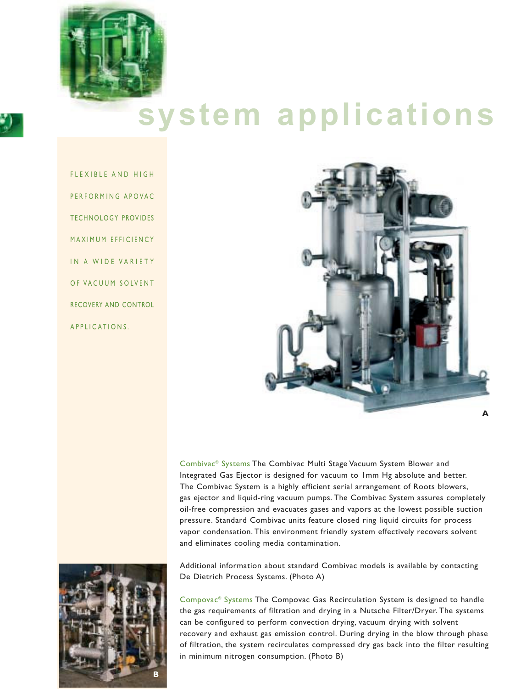

### FLEXIBLE AND HIGH P E R F O R M I N G A P O V A C TECHNOLOGY PROVIDES MAXIMUM EFFICIENCY IN A WIDE VARIETY OF VACUUM SOLVENT RECOVERY AND CONTROL A P P L I C A T I O N S.



Combivac ® Systems The Combivac Multi Stage Vacuum System Blower and Integrated Gas Ejector is designed for vacuum to 1mm Hg absolute and better. The Combivac System is a highly efficient serial arrangement of Roots blowers, gas ejector and liquid-ring vacuum pumps. The Combivac System assures completely oil-free compression and evacuates gases and vapors at the lowest possible suction pressure. Standard Combivac units feature closed ring liquid circuits for process vapor condensation. This environment friendly system effectively recovers solvent and eliminates cooling media contamination.



Additional information about standard Combivac models is available by contacting De Dietrich Process Systems. (Photo A)

Compovac ® Systems The Compovac Gas Recirculation System is designed to handle the gas requirements of filtration and drying in a Nutsche Filter/Dryer. The systems can be configured to perform convection drying, vacuum drying with solvent recovery and exhaust gas emission control. During drying in the blow through phase of filtration, the system recirculates compressed dry gas back into the filter resulting in minimum nitrogen consumption. (Photo B)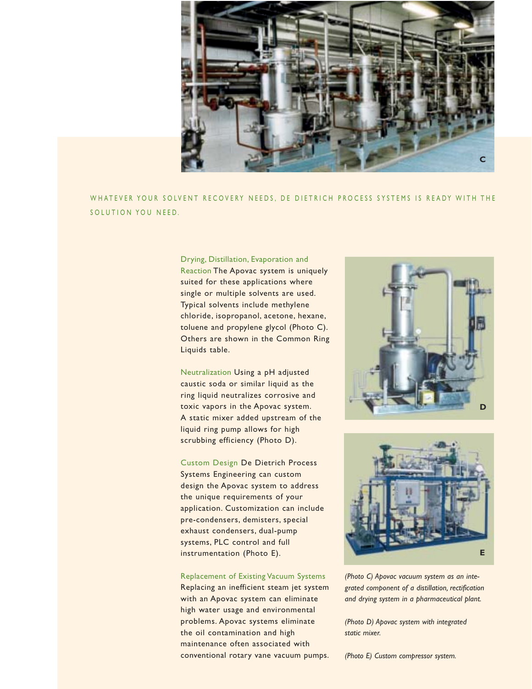

#### WHATEVER YOUR SOLVENT RECOVERY NEEDS. DE DIETRICH PROCESS SYSTEMS IS READY WITH THE SOLUTION YOU NEED.

#### Drying, Distillation, Evaporation and

Reaction The Apovac system is uniquely suited for these applications where single or multiple solvents are used. Typical solvents include methylene chloride, isopropanol, acetone, hexane, toluene and propylene glycol (Photo C). Others are shown in the Common Ring Liquids table.

Neutralization Using a pH adjusted caustic soda or similar liquid as the ring liquid neutralizes corrosive and toxic vapors in the Apovac system. A static mixer added upstream of the liquid ring pump allows for high scrubbing efficiency (Photo D).

Custom Design De Dietrich Process Systems Engineering can custom design the Apovac system to address the unique requirements of your application. Customization can include pre-condensers, demisters, special exhaust condensers, dual-pump systems, PLC control and full instrumentation (Photo E).

Replacement of Existing Vacuum Systems Replacing an inefficient steam jet system with an Apovac system can eliminate high water usage and environmental problems. Apovac systems eliminate the oil contamination and high maintenance often associated with conventional rotary vane vacuum pumps.





(Photo C) Apovac vacuum system as an integrated component of a distillation, rectification and drying system in a pharmaceutical plant.

(Photo D) Apovac system with integrated static mixer.

(Photo E) Custom compressor system.